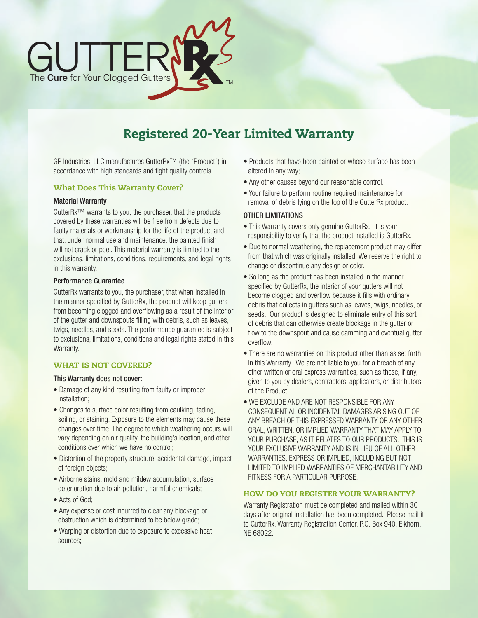

# Registered 20-Year Limited Warranty

GP Industries, LLC manufactures GutterRx™ (the "Product") in accordance with high standards and tight quality controls.

## What Does This Warranty Cover?

#### Material Warranty

GutterRx™ warrants to you, the purchaser, that the products covered by these warranties will be free from defects due to faulty materials or workmanship for the life of the product and that, under normal use and maintenance, the painted finish will not crack or peel. This material warranty is limited to the exclusions, limitations, conditions, requirements, and legal rights in this warranty.

## Performance Guarantee

GutterRx warrants to you, the purchaser, that when installed in the manner specified by GutterRx, the product will keep gutters from becoming clogged and overflowing as a result of the interior of the gutter and downspouts filling with debris, such as leaves, twigs, needles, and seeds. The performance guarantee is subject to exclusions, limitations, conditions and legal rights stated in this Warranty.

# WHAT IS NOT COVERED?

#### This Warranty does not cover:

- Damage of any kind resulting from faulty or improper installation;
- Changes to surface color resulting from caulking, fading, soiling, or staining. Exposure to the elements may cause these changes over time. The degree to which weathering occurs will vary depending on air quality, the building's location, and other conditions over which we have no control;
- Distortion of the property structure, accidental damage, impact of foreign objects;
- Airborne stains, mold and mildew accumulation, surface deterioration due to air pollution, harmful chemicals;
- Acts of God;
- Any expense or cost incurred to clear any blockage or obstruction which is determined to be below grade;
- Warping or distortion due to exposure to excessive heat sources;
- Products that have been painted or whose surface has been altered in any way;
- Any other causes beyond our reasonable control.
- Your failure to perform routine required maintenance for removal of debris lying on the top of the GutterRx product.

#### OTHER LIMITATIONS

- This Warranty covers only genuine GutterRx. It is your responsibility to verify that the product installed is GutterRx.
- Due to normal weathering, the replacement product may differ from that which was originally installed. We reserve the right to change or discontinue any design or color.
- So long as the product has been installed in the manner specified by GutterRx, the interior of your gutters will not become clogged and overflow because it fills with ordinary debris that collects in gutters such as leaves, twigs, needles, or seeds. Our product is designed to eliminate entry of this sort of debris that can otherwise create blockage in the gutter or flow to the downspout and cause damming and eventual gutter overflow.
- There are no warranties on this product other than as set forth in this Warranty. We are not liable to you for a breach of any other written or oral express warranties, such as those, if any, given to you by dealers, contractors, applicators, or distributors of the Product.
- WE EXCLUDE AND ARE NOT RESPONSIBLE FOR ANY CONSEQUENTIAL OR INCIDENTAL DAMAGES ARISING OUT OF ANY BREACH OF THIS EXPRESSED WARRANTY OR ANY OTHER ORAL, WRITTEN, OR IMPLIED WARRANTY THAT MAY APPLY TO YOUR PURCHASE, AS IT RELATES TO OUR PRODUCTS. THIS IS YOUR EXCLUSIVE WARRANTY AND IS IN LIEU OF ALL OTHER WARRANTIES, EXPRESS OR IMPLIED, INCLUDING BUT NOT LIMITED TO IMPLIED WARRANTIES OF MERCHANTABILITY AND FITNESS FOR A PARTICULAR PURPOSE.

# HOW DO YOU REGISTER YOUR WARRANTY?

Warranty Registration must be completed and mailed within 30 days after original installation has been completed. Please mail it to GutterRx, Warranty Registration Center, P.O. Box 940, Elkhorn, NE 68022.